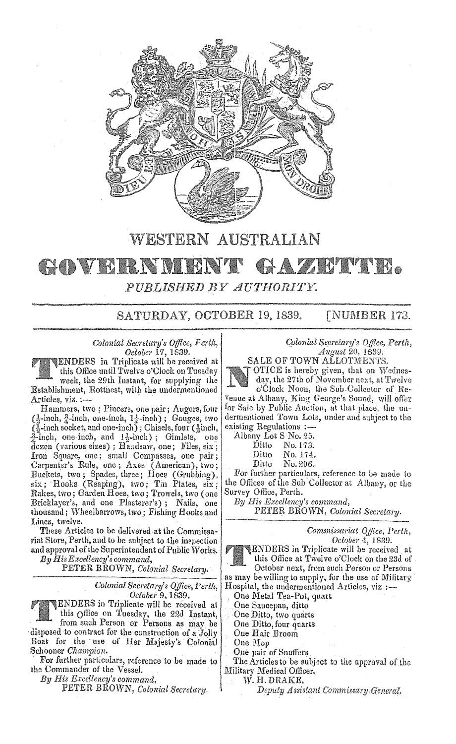

## WESTERN AUSTRALIAN GAZRIMIR. GOVERNME PUBLISHED BY AUTHORITY.

SATURDAY, OCTOBER 19, 1839. [NUMBER 173.

*Colonial Secretary's Office, Ferth, October* 17, 1839.

ENDERS in Triplicate will be received at this Office until Twelve o'Clock on Tuesday week, the 29th Instant, for supplying the Establishment, Rottnest, with the undermentioned Articles, viz.:-

Hammers, two; Pincers, one pair; Augers, four  $(\frac{1}{2}$ -inch,  $\frac{3}{4}$ -inch, one-inch,  $1\frac{1}{4}$ -inch); Gouges, two  $(\tilde{A})$ -inch socket, and one-inch); Chisels, four ( $\frac{1}{2}$ inch,  $\frac{3}{4}$ -inch, one inch, and  $1\frac{1}{2}$ -inch); Gimlets, one dozen (various sizes) ; Handsaw, one; Files, six; Iron Square, one; small Compasses, one pair; Carpenter's Rule, one; Axes (American), two; Buckets, two; Spades, three; Hoes (Grubbing),  $six$ ; Hooks (Reaping), two; Tin Plates,  $six$ ; Rakes, two; Garden Hocs, two; Trowels, two (one Bricklayer's, and one Plasterer's); Nails, one thousand; Wheelbarrows, two; Fishing Hooks and Lines, twelve.

These Articles to be delivered at the Commissariat Store, Perth, and to be subject to the inepection and approval of the Superintendent of Public Works. *By His Excellency's command,* 

PETER BROWN, *Colonial Secretary*.

*Colonial Secretary's Office, Perth, October* 9, 1839.

ENDERS in Triplicate will be received at this office on Tuesday, the 220 Instant,

. from such Person er Persons as may be disposed to contract for the construction of a Jolly Boat for the use of Her Majesty's Colonial Schooner *Champion*.

For further particulars, reference to be made to the Commander of the Vessel.

By His Excellency's command.

PETER BROWN, Colonial Secretary.

Colonial Secretary's Office, Perth, August 20, 1839.<br>SALE OF TOWN ALLOTMENTS.

OTICE is hereby given, that on Wednesday, the 27th of November next, at Twelve

o'Clock Noon, the Sub·Uolleclor of Re-Venue at Albany, King George's Sound, will offer for Sale by Public Auction, at that place, the undermentioned Town Lots, under and subject to the existing Regulations :-

Albany Lot S No. 25.<br>Ditto No. 173.

Ditto No. 173.<br>Ditto No. 174.

- Ditto No. 174.<br>Ditto No. 206.
- No. 206.

For further particulars, reference to be made to the Offices of the Sub Collector at Albany, or the Survey Office, Perth.

*His Excellency's command,*  PETER BROWN, Colonial Secretary.

> *Commissariat Office, October* 4, 1839.

ENDERS in Triplicate will be received at this Office at Twelve o'Clock on the 23d of October next, from such Person or Persons

as may be willing to supply, for the use of Military Hospital, the undermentioned Articles, viz :-

One Metal Tea-Pot, quart

One Saucepan, ditto

One Ditto, two quarts

One Ditto, four quarts

One Hair Broom

One Mop

One pair of Snuffers

The Articles to be subject to the approval of the Military Medical Officer.

W. H. DRAKE,<br>Deputy Assistant Commissary General.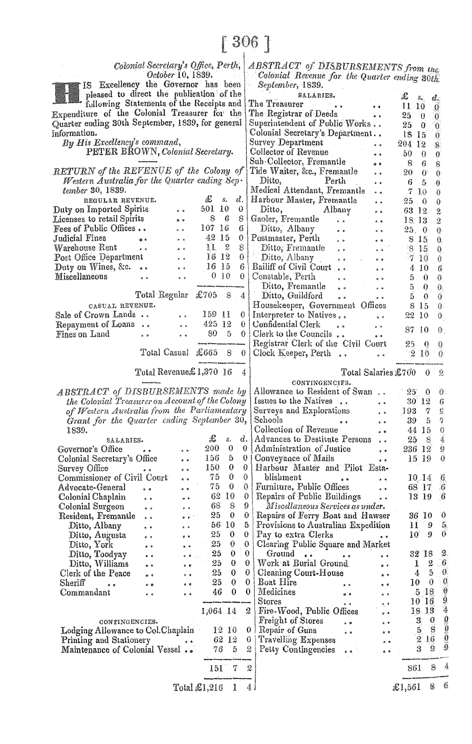## $[306]$

Colonial Secretary's Office, Perth, October 10, 1839.

IS Excellency the Governor has been pleased to direct the publication of the Receipts a Expenditure of the Colonial Treasurer for t Quarter ending 30th September, 1839, for gene information. By His Excellency's command, PETER BROWN, Colonial Secretary RETURN of the REVENUE of the Colony Western Australia for the Quarter ending S tember 30, 1839. REGULAR REVENUE. 玉  $\mathcal{S}$ . Duty on Imported Spirits 501 10  $\ddot{\phantom{0}}$ Licenses to retail Spirits 8 - 6  $\ddot{\bullet}$ 107 16 Fees of Public Offices..  $\ddot{\phantom{a}}$ 42 15 Judicial Fines  $\bullet$  $\ddot{\phantom{0}}$ Warehouse Rent  $\ddot{\phantom{0}}$  $112$  $\phi$  .  $\phi$ Post Office Department  $1612$  $\ddot{\phi}$ Duty on Wines, &c. .. 16 15  $\ddot{\phantom{a}}$  $0<sub>10</sub>$ Miscellaneous  $\ddot{\phantom{a}}$  $\ddot{\phantom{0}}$ 

Total Regular £705  $\mathbf{s}$ CASUAL REVENUE. Sale of Crown Lands.. 159 11  $\ddot{\phantom{0}}$ 425 12 Repayment of Loans..  $\ddot{\phantom{0}}$ Fines on Land  $80<sub>5</sub>$  $\ddot{\phantom{0}}$  $\ddot{\phantom{0}}$ L. Total Casual £665 8

## Total Revenue £1,370 16

**ABSTRACT** of DISBURSEMENTS made the Colonial Treasurer on Account of the Col of Western Australia from the Parliament Grant for the Quarter ending September 1839.

| SALARIES.                         |  |            | £               | s.    | d. |  |
|-----------------------------------|--|------------|-----------------|-------|----|--|
| Governor's Office                 |  |            | 200             | 0     | 0  |  |
| Colonial Secretary's Office       |  |            | 156             | 5.    | 0  |  |
| Survey Office                     |  |            | 150             | 0.    | 0  |  |
| Commissioner of Civil Court       |  |            | 75.             | 0     | 0  |  |
| Advocate-General                  |  |            | 75.             | 0     | 0  |  |
| Colonial Chaplain                 |  |            | 62              | 10    | 0  |  |
| Colonial Surgeon                  |  |            | 68              | 8     | 9  |  |
| Resident, Fremantle               |  |            | 25              | 0     | 0  |  |
| Ditto, Albany                     |  |            | 56              | 10    | 5  |  |
| Ditto, Augusta                    |  | $^{\circ}$ | 25              | 0     | 0  |  |
| Ditto, York                       |  |            | 25              | 0     | 0  |  |
| Ditto, Toodyay                    |  |            | $25 -$          | 0     | 0  |  |
| Ditto, Williams                   |  |            | 25              | 0     | 0  |  |
| Clerk of the Peace                |  |            | 25              | 0     | 0  |  |
| Sheriff                           |  |            | 25              | 0     | 0  |  |
| Commandant                        |  |            | 46              | 0     | 0  |  |
|                                   |  |            | 1,064 14        |       | 2  |  |
| CONTINGENCIES.                    |  |            |                 |       |    |  |
| Lodging Allowance to Col.Chaplain |  |            | 12 <sup>1</sup> | 10    | 0  |  |
| Printing and Stationery           |  |            |                 | 62 12 | 0  |  |
| Maintenance of Colonial Vessel    |  |            | 76              | 5     | 2  |  |
|                                   |  |            | 151             | 7     | -2 |  |
|                                   |  |            |                 |       |    |  |

ABSTRACT of DISBURSEMENTS from the Colonial Revenue for the Quarter ending 30th September, 1839.

| publication of the               | wysomowej zoobi                                               |                                        |
|----------------------------------|---------------------------------------------------------------|----------------------------------------|
| f the Receipts and               | SALARIES.<br>The Treasurer                                    | £<br>$s_{\bullet}$<br>đ.               |
| Treasurer for the                |                                                               | $11-10$<br>0.                          |
|                                  | The Registrar of Deeds<br>$\ddot{\phantom{a}}$                | 25<br>-0<br>0.                         |
| , 1839, for general              | Superintendent of Public Works                                | 25<br>0<br>0.                          |
|                                  | Colonial Secretary's Department                               | 18<br>-15<br>0                         |
| ď,                               | Survey Department<br>$\bullet$                                | 204<br>-12<br>8.                       |
| lonial Secretary.                | Collector of Revenue                                          | 50<br>0<br>0                           |
|                                  | Sub-Collector, Fremantle<br>o o                               | 8<br>6<br>8                            |
| of the Colony of                 | Tide Waiter, &c., Fremantle                                   | 20<br>0<br>0                           |
| uarter ending Sep·               | Ditto,<br>Perth                                               | 6<br>5.<br>θ.                          |
|                                  | Medical Attendant, Fremantle                                  | 10<br>7<br>0                           |
| £<br>d.<br>$S_{\bullet}$         | Harbour Master, Fremantle                                     | 25<br>0<br>0                           |
| 501<br>10<br>0.<br>$^{\circ}$    | Ditto,<br>Albany                                              | 63 12<br>2                             |
| 8<br>6<br>8.<br>$\bullet$        | Gaoler, Fremantle<br>e a<br>$\alpha$ $\alpha$                 | 18. IS:<br>$\overline{2}$              |
| 107<br>16<br>6                   | Ditto, Albany                                                 | 25.<br>0<br>0.                         |
| 42 15<br>0                       | Postmaster, Perth<br>$\ddot{\phantom{0}}$                     | 8 15<br>0.                             |
| 11<br>2<br>8<br>$\mathbf{a}$     | Ditto, Fremantle<br>0 <sup>2</sup>                            | 815                                    |
| 16 12<br>0                       | ŋ<br>Ditto, Albany                                            | θ.<br>10<br>-7                         |
| 16 15<br>6                       | $\bullet$<br>Bailiff of Civil Court                           | 0                                      |
| 0 <sub>10</sub><br>0             | Constable, Perth                                              | 10<br>4<br>6                           |
|                                  | $\frac{1}{2}$                                                 | 5<br>$\bf{0}$<br>0.                    |
|                                  | Ditto, Fremantle                                              | 5.<br>0<br>0.                          |
| £705<br>ular<br>8<br>4           | Ditto, Guildford<br>$0-0$                                     | 5<br>0<br>0.                           |
|                                  | Housekeeper, Government Offices                               | 8<br>-15<br>0.                         |
| 159<br>$\mathbf{H}$<br>0         | Interpreter to Natives<br>$\ddot{\phantom{a}}$                | 10<br>22<br>0                          |
| 425 12<br>0.                     | Confidential Clerk<br>$^{\circ}$<br>$\ddot{\phantom{0}}$      | 87<br>10<br>0.,                        |
| 80<br>5<br>0                     | Clerk to the Councils.                                        |                                        |
|                                  | Registrar Clerk of the Civil Court                            | 25<br>0<br>θ.                          |
| $\pounds 665$<br>ısual<br>8<br>0 | Clock Keeper, Perth<br>$\ddot{\phantom{0}}$                   | -2-10<br>0.                            |
|                                  |                                                               |                                        |
| enue£1,370 16<br>4               | Total Salaries £700                                           | 0<br>2                                 |
|                                  | CONTINGENCIES.                                                |                                        |
| <b>EMENTS</b> made by            | Allowance to Resident of Swan                                 | $25\,$<br>0<br>$\mathbf{0}$ :          |
| ccount of the Colony             | Issues to the Natives                                         | $30\ \ 12$<br>6                        |
| the Parliamentary                | Surveys and Explorations                                      | g<br>193<br>7                          |
| ling September 30,               | Schools                                                       | ŋ<br>39<br>5                           |
|                                  | Collection of Revenue                                         | $\ddot{0}$<br>44<br>15                 |
| £<br>₫.<br>s.                    | <b>Advances to Destitute Persons</b>                          | ÿ.<br>25<br>8                          |
| 200<br>0                         | $\ddot{\phantom{0}}$<br>Administration of Justice<br>0.       | 9<br>236 12                            |
| e o<br>156<br>5                  | $-20$<br>0                                                    | 0                                      |
| 150<br>0                         | Conveyance of Mails<br>$-9$<br>Harbour Master and Pilot Esta- | 15<br>-19                              |
| 75<br>0                          | 0                                                             |                                        |
|                                  | 0<br>blishment<br>$\bullet$                                   | 10.14<br>6,                            |
| 75<br>0                          | Furniture, Public Offices<br>0<br>$\sigma$ $\sigma$           | 68 17<br>6.                            |
| 62<br>10                         | 0<br>Repairs of Public Buildings<br>$^{\circ}$                | 6<br>13<br>19                          |
| 68<br>8                          | 9<br>Miscellaneous Services as under.                         |                                        |
| 25<br>0                          | 0<br>Repairs of Ferry Boat and Hawser                         | 0<br>36 IO                             |
| 10<br>56                         | 5<br>Provisions to Australian Expedition                      | 5.<br>11<br>9                          |
| 25<br>0<br>e o                   | 0<br>Pay to extra Clerks                                      | 0<br>10<br>9                           |
| 25<br>0                          | Clearing Public Square and Market<br>0                        |                                        |
| 25<br>0                          | 0<br>Ground                                                   | 2<br>32 18                             |
| 25<br>0                          | 0<br>Work at Burial Ground                                    | $\sqrt{6}$<br>2<br>$\mathbf{I}$        |
| 25<br>0                          | 0<br><b>Cleaning Court-House</b>                              | -0<br>5<br>4                           |
| 25<br>0                          | 0<br>Boat Hire                                                | $\overline{\phantom{0}}$<br>0<br>10    |
| 46<br>0                          | 0<br>Medicines                                                | $\theta$<br>-5-18                      |
|                                  | $_{\rm Stores}$                                               | 9<br>$10^{\circ}16$                    |
| 1,064 14                         | Fire-Wood, Public Offices<br>2                                | Ą<br>18 13                             |
|                                  | Freight of Stores                                             | $\mathbb{C}$<br>3<br>0                 |
| aplain<br>12-10                  | 0<br>Repair of Guns                                           | $\mathbf{C}$<br>$\boldsymbol{8}$<br>5. |
|                                  | ه ه                                                           | ţ<br>$1\,6$<br>2                       |
| 62 12                            | <b>Travelling Expenses</b><br>0.                              | ğ<br>9                                 |
| el<br>76<br>5                    | 2<br>Petty Contingencies<br>$\bullet$                         | 3                                      |
| 7<br>15I                         | $\boldsymbol{2}$                                              | š<br>8<br>861                          |
| Total £1,216<br>1                | 4.                                                            | 6<br>8.<br>£1,561                      |
|                                  |                                                               |                                        |